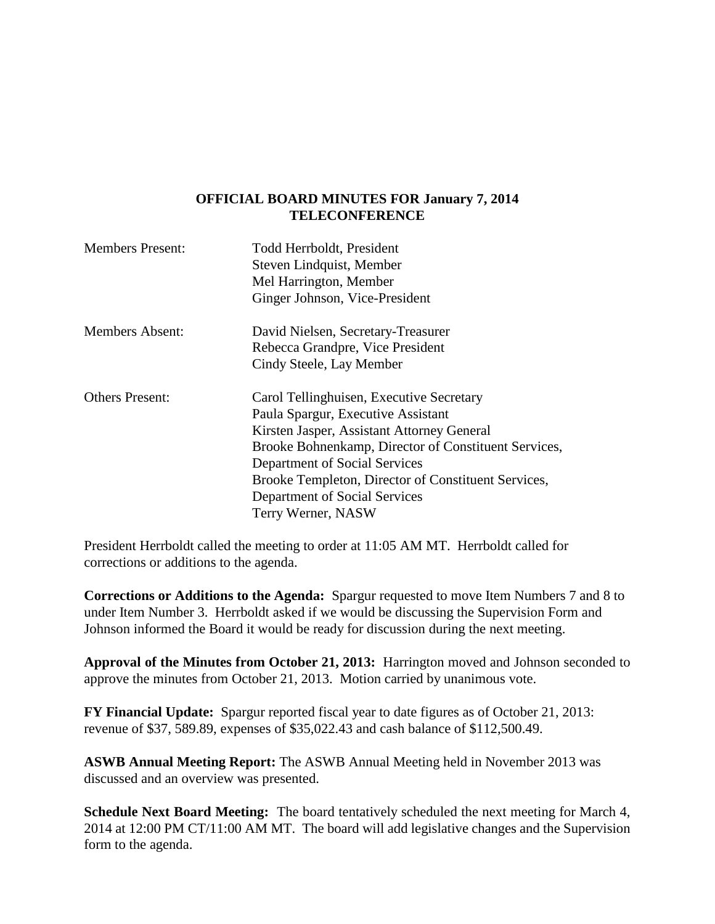## **OFFICIAL BOARD MINUTES FOR January 7, 2014 TELECONFERENCE**

| <b>Members Present:</b> | Todd Herrboldt, President<br>Steven Lindquist, Member<br>Mel Harrington, Member<br>Ginger Johnson, Vice-President                                                                                                                                                                                                                   |
|-------------------------|-------------------------------------------------------------------------------------------------------------------------------------------------------------------------------------------------------------------------------------------------------------------------------------------------------------------------------------|
| <b>Members Absent:</b>  | David Nielsen, Secretary-Treasurer<br>Rebecca Grandpre, Vice President<br>Cindy Steele, Lay Member                                                                                                                                                                                                                                  |
| <b>Others Present:</b>  | Carol Tellinghuisen, Executive Secretary<br>Paula Spargur, Executive Assistant<br>Kirsten Jasper, Assistant Attorney General<br>Brooke Bohnenkamp, Director of Constituent Services,<br>Department of Social Services<br>Brooke Templeton, Director of Constituent Services,<br>Department of Social Services<br>Terry Werner, NASW |

President Herrboldt called the meeting to order at 11:05 AM MT. Herrboldt called for corrections or additions to the agenda.

**Corrections or Additions to the Agenda:** Spargur requested to move Item Numbers 7 and 8 to under Item Number 3. Herrboldt asked if we would be discussing the Supervision Form and Johnson informed the Board it would be ready for discussion during the next meeting.

**Approval of the Minutes from October 21, 2013:** Harrington moved and Johnson seconded to approve the minutes from October 21, 2013. Motion carried by unanimous vote.

**FY Financial Update:** Spargur reported fiscal year to date figures as of October 21, 2013: revenue of \$37, 589.89, expenses of \$35,022.43 and cash balance of \$112,500.49.

**ASWB Annual Meeting Report:** The ASWB Annual Meeting held in November 2013 was discussed and an overview was presented.

**Schedule Next Board Meeting:** The board tentatively scheduled the next meeting for March 4, 2014 at 12:00 PM CT/11:00 AM MT. The board will add legislative changes and the Supervision form to the agenda.